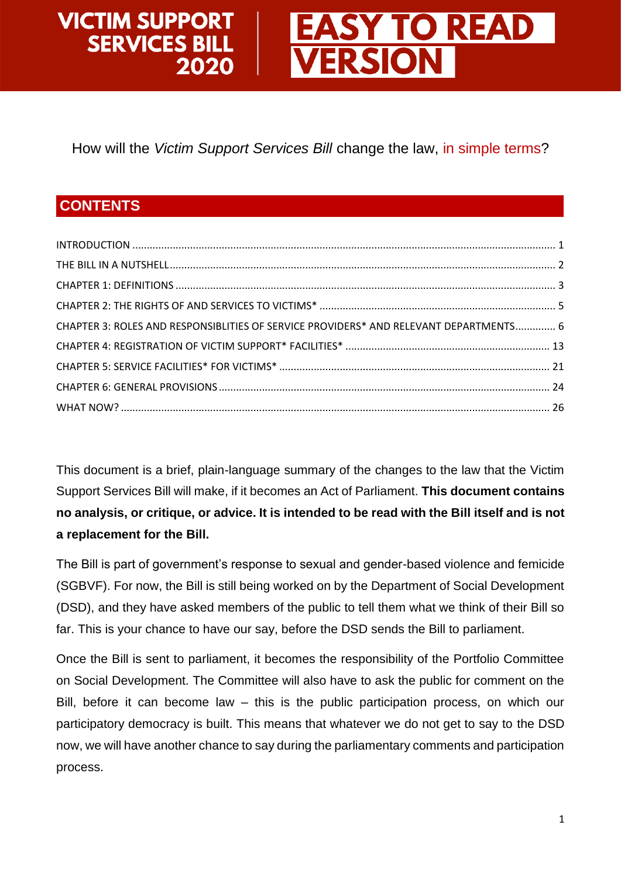#### **VICTIM SUPPORT Y TO READ SERVICES BILL ERSION** 2020

How will the *Victim Support Services Bill* change the law, in simple terms?

## **CONTENTS**

| CHAPTER 3: ROLES AND RESPONSIBLITIES OF SERVICE PROVIDERS* AND RELEVANT DEPARTMENTS 6 |  |
|---------------------------------------------------------------------------------------|--|
|                                                                                       |  |
|                                                                                       |  |
|                                                                                       |  |
|                                                                                       |  |

<span id="page-0-0"></span>This document is a brief, plain-language summary of the changes to the law that the Victim Support Services Bill will make, if it becomes an Act of Parliament. **This document contains no analysis, or critique, or advice. It is intended to be read with the Bill itself and is not a replacement for the Bill.**

The Bill is part of government's response to sexual and gender-based violence and femicide (SGBVF). For now, the Bill is still being worked on by the Department of Social Development (DSD), and they have asked members of the public to tell them what we think of their Bill so far. This is your chance to have our say, before the DSD sends the Bill to parliament.

Once the Bill is sent to parliament, it becomes the responsibility of the Portfolio Committee on Social Development. The Committee will also have to ask the public for comment on the Bill, before it can become law – this is the public participation process, on which our participatory democracy is built. This means that whatever we do not get to say to the DSD now, we will have another chance to say during the parliamentary comments and participation process.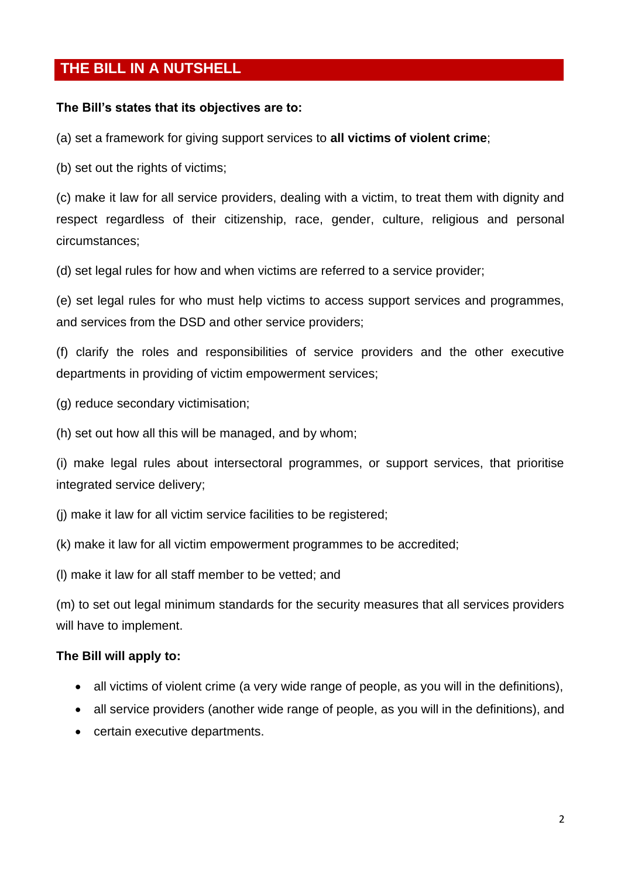## <span id="page-1-0"></span>**THE BILL IN A NUTSHELL**

#### **The Bill's states that its objectives are to:**

(a) set a framework for giving support services to **all victims of violent crime**;

(b) set out the rights of victims;

(c) make it law for all service providers, dealing with a victim, to treat them with dignity and respect regardless of their citizenship, race, gender, culture, religious and personal circumstances;

(d) set legal rules for how and when victims are referred to a service provider;

(e) set legal rules for who must help victims to access support services and programmes, and services from the DSD and other service providers;

(f) clarify the roles and responsibilities of service providers and the other executive departments in providing of victim empowerment services;

- (g) reduce secondary victimisation;
- (h) set out how all this will be managed, and by whom;

(i) make legal rules about intersectoral programmes, or support services, that prioritise integrated service delivery;

- (j) make it law for all victim service facilities to be registered;
- (k) make it law for all victim empowerment programmes to be accredited;
- (l) make it law for all staff member to be vetted; and

(m) to set out legal minimum standards for the security measures that all services providers will have to implement.

#### **The Bill will apply to:**

- all victims of violent crime (a very wide range of people, as you will in the definitions),
- all service providers (another wide range of people, as you will in the definitions), and
- certain executive departments.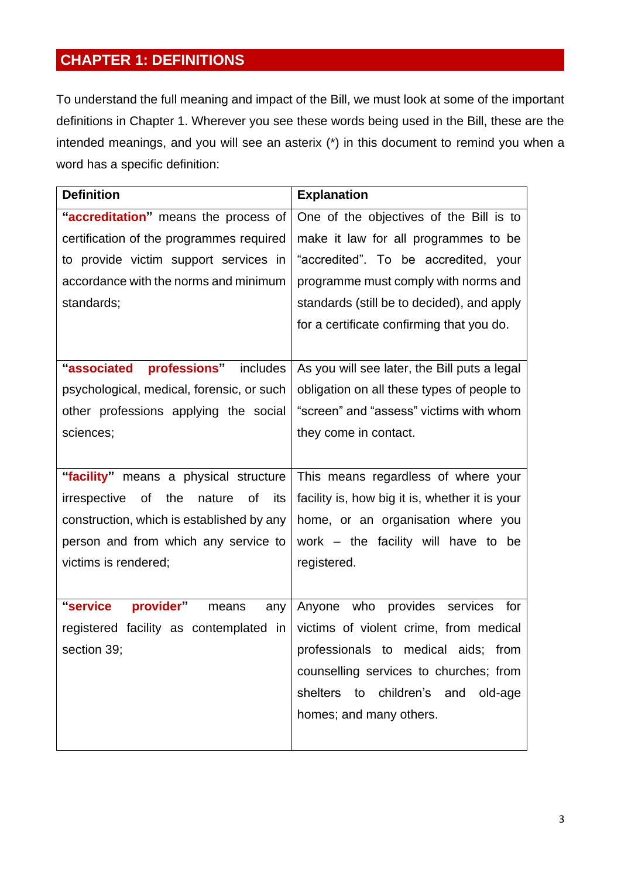# <span id="page-2-0"></span>**CHAPTER 1: DEFINITIONS**

To understand the full meaning and impact of the Bill, we must look at some of the important definitions in Chapter 1. Wherever you see these words being used in the Bill, these are the intended meanings, and you will see an asterix (\*) in this document to remind you when a word has a specific definition:

| <b>Definition</b>                                | <b>Explanation</b>                             |  |  |
|--------------------------------------------------|------------------------------------------------|--|--|
| "accreditation" means the process of             | One of the objectives of the Bill is to        |  |  |
| certification of the programmes required         | make it law for all programmes to be           |  |  |
| to provide victim support services in            | "accredited". To be accredited, your           |  |  |
| accordance with the norms and minimum            | programme must comply with norms and           |  |  |
| standards;                                       | standards (still be to decided), and apply     |  |  |
|                                                  | for a certificate confirming that you do.      |  |  |
|                                                  |                                                |  |  |
| "associated<br>professions" includes             | As you will see later, the Bill puts a legal   |  |  |
| psychological, medical, forensic, or such        | obligation on all these types of people to     |  |  |
| other professions applying the social            | "screen" and "assess" victims with whom        |  |  |
| sciences;                                        | they come in contact.                          |  |  |
|                                                  |                                                |  |  |
| "facility" means a physical structure            | This means regardless of where your            |  |  |
| of<br>the<br>nature<br>irrespective<br>0f<br>its | facility is, how big it is, whether it is your |  |  |
| construction, which is established by any        | home, or an organisation where you             |  |  |
| person and from which any service to             | work – the facility will have to be            |  |  |
| victims is rendered;                             | registered.                                    |  |  |
|                                                  |                                                |  |  |
| "service<br>provider"<br>means<br>any            | Anyone who provides services<br>for            |  |  |
| registered facility as contemplated in           | victims of violent crime, from medical         |  |  |
| section 39;                                      | professionals to medical aids; from            |  |  |
|                                                  | counselling services to churches; from         |  |  |
|                                                  | shelters to children's and<br>old-age          |  |  |
|                                                  | homes; and many others.                        |  |  |
|                                                  |                                                |  |  |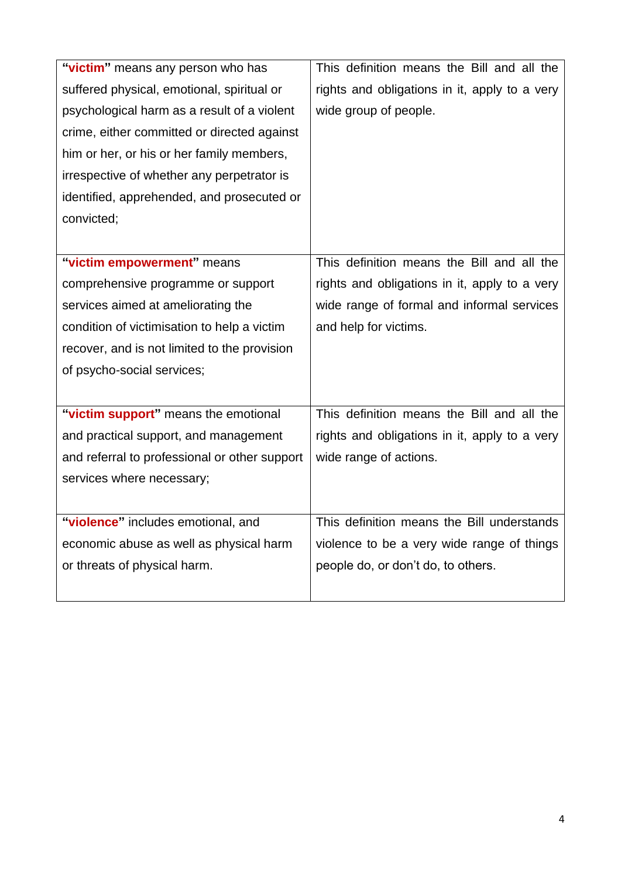| "victim" means any person who has             | This definition means the Bill and all the    |
|-----------------------------------------------|-----------------------------------------------|
| suffered physical, emotional, spiritual or    | rights and obligations in it, apply to a very |
| psychological harm as a result of a violent   | wide group of people.                         |
| crime, either committed or directed against   |                                               |
| him or her, or his or her family members,     |                                               |
| irrespective of whether any perpetrator is    |                                               |
| identified, apprehended, and prosecuted or    |                                               |
| convicted;                                    |                                               |
|                                               |                                               |
| "victim empowerment" means                    | This definition means the Bill and all the    |
| comprehensive programme or support            | rights and obligations in it, apply to a very |
| services aimed at ameliorating the            | wide range of formal and informal services    |
| condition of victimisation to help a victim   | and help for victims.                         |
| recover, and is not limited to the provision  |                                               |
| of psycho-social services;                    |                                               |
|                                               |                                               |
| "victim support" means the emotional          | This definition means the Bill and all the    |
| and practical support, and management         | rights and obligations in it, apply to a very |
| and referral to professional or other support | wide range of actions.                        |
| services where necessary;                     |                                               |
|                                               |                                               |
| "violence" includes emotional, and            | This definition means the Bill understands    |
| economic abuse as well as physical harm       | violence to be a very wide range of things    |
| or threats of physical harm.                  | people do, or don't do, to others.            |
|                                               |                                               |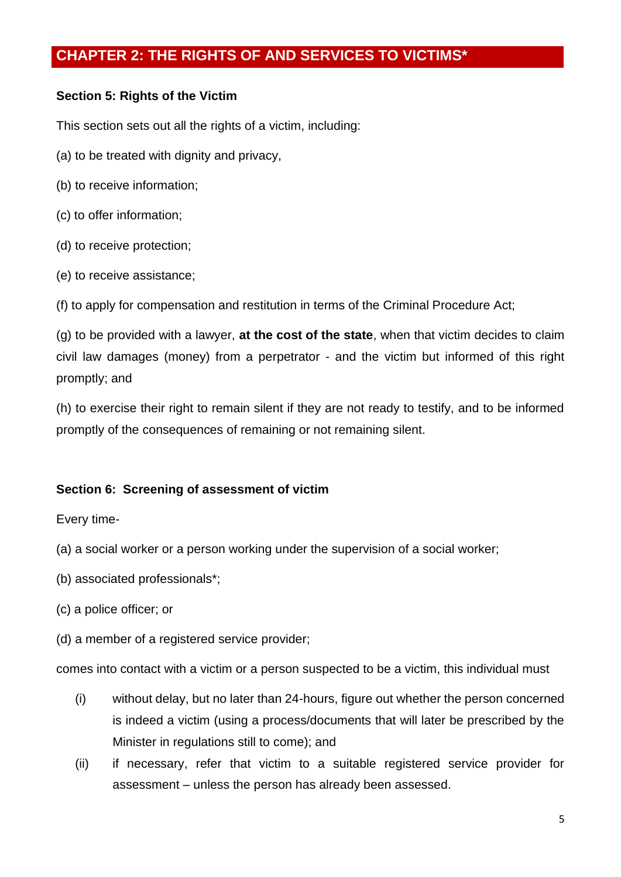## <span id="page-4-0"></span>**CHAPTER 2: THE RIGHTS OF AND SERVICES TO VICTIMS\***

### **Section 5: Rights of the Victim**

This section sets out all the rights of a victim, including:

- (a) to be treated with dignity and privacy,
- (b) to receive information;
- (c) to offer information;
- (d) to receive protection;
- (e) to receive assistance;

(f) to apply for compensation and restitution in terms of the Criminal Procedure Act;

(g) to be provided with a lawyer, **at the cost of the state**, when that victim decides to claim civil law damages (money) from a perpetrator - and the victim but informed of this right promptly; and

(h) to exercise their right to remain silent if they are not ready to testify, and to be informed promptly of the consequences of remaining or not remaining silent.

## **Section 6: Screening of assessment of victim**

Every time-

- (a) a social worker or a person working under the supervision of a social worker;
- (b) associated professionals\*;
- (c) a police officer; or
- (d) a member of a registered service provider;

comes into contact with a victim or a person suspected to be a victim, this individual must

- (i) without delay, but no later than 24-hours, figure out whether the person concerned is indeed a victim (using a process/documents that will later be prescribed by the Minister in regulations still to come); and
- (ii) if necessary, refer that victim to a suitable registered service provider for assessment – unless the person has already been assessed.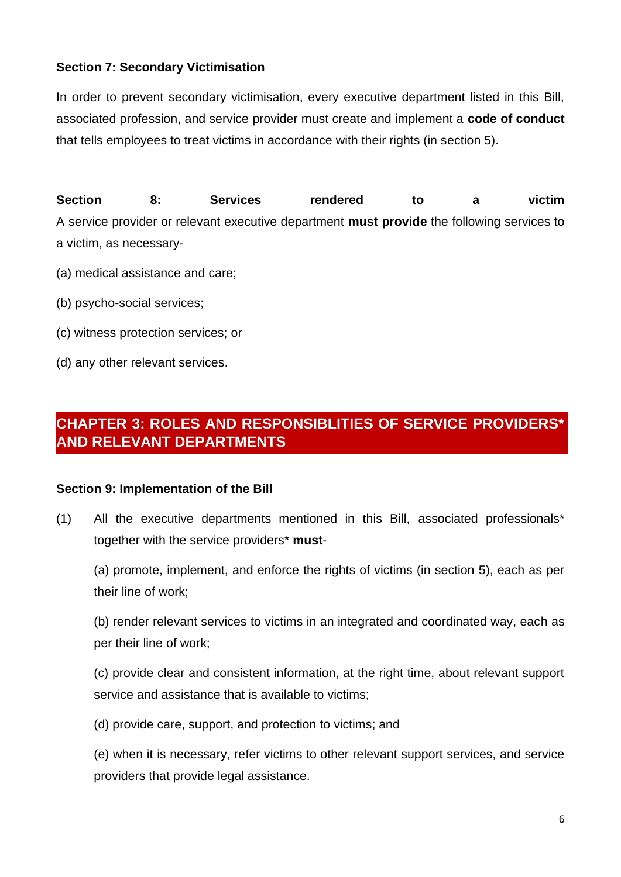## **Section 7: Secondary Victimisation**

In order to prevent secondary victimisation, every executive department listed in this Bill, associated profession, and service provider must create and implement a **code of conduct** that tells employees to treat victims in accordance with their rights (in section 5).

**Section 8: Services rendered to a victim** A service provider or relevant executive department **must provide** the following services to a victim, as necessary-

- (a) medical assistance and care;
- (b) psycho-social services;
- (c) witness protection services; or
- (d) any other relevant services.

## <span id="page-5-0"></span>**CHAPTER 3: ROLES AND RESPONSIBLITIES OF SERVICE PROVIDERS\* AND RELEVANT DEPARTMENTS**

## **Section 9: Implementation of the Bill**

(1) All the executive departments mentioned in this Bill, associated professionals\* together with the service providers\* **must**-

(a) promote, implement, and enforce the rights of victims (in section 5), each as per their line of work;

(b) render relevant services to victims in an integrated and coordinated way, each as per their line of work;

(c) provide clear and consistent information, at the right time, about relevant support service and assistance that is available to victims;

(d) provide care, support, and protection to victims; and

(e) when it is necessary, refer victims to other relevant support services, and service providers that provide legal assistance.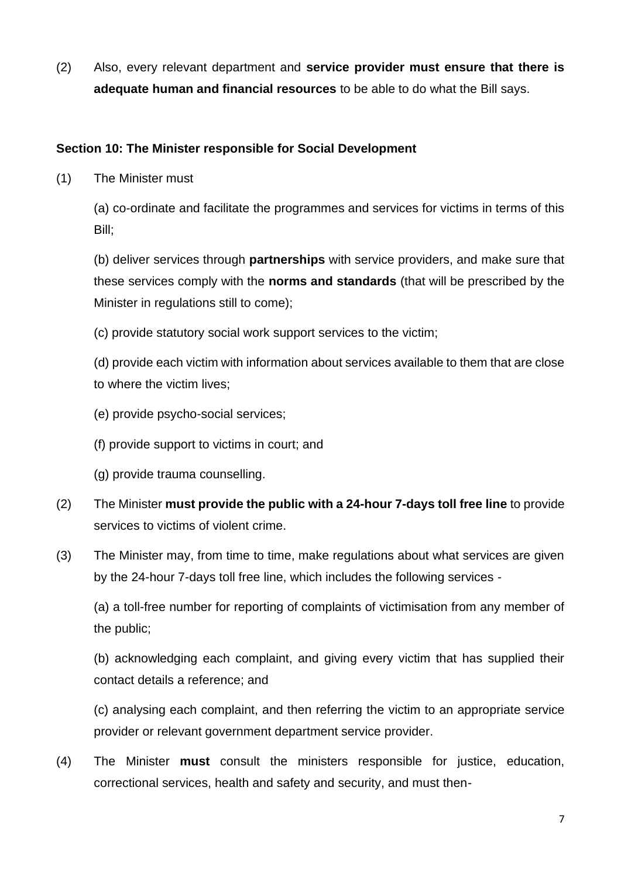(2) Also, every relevant department and **service provider must ensure that there is adequate human and financial resources** to be able to do what the Bill says.

### **Section 10: The Minister responsible for Social Development**

(1) The Minister must

(a) co-ordinate and facilitate the programmes and services for victims in terms of this Bill;

(b) deliver services through **partnerships** with service providers, and make sure that these services comply with the **norms and standards** (that will be prescribed by the Minister in regulations still to come);

(c) provide statutory social work support services to the victim;

(d) provide each victim with information about services available to them that are close to where the victim lives;

- (e) provide psycho-social services;
- (f) provide support to victims in court; and
- (g) provide trauma counselling.
- (2) The Minister **must provide the public with a 24-hour 7-days toll free line** to provide services to victims of violent crime.
- (3) The Minister may, from time to time, make regulations about what services are given by the 24-hour 7-days toll free line, which includes the following services -

(a) a toll-free number for reporting of complaints of victimisation from any member of the public;

(b) acknowledging each complaint, and giving every victim that has supplied their contact details a reference; and

(c) analysing each complaint, and then referring the victim to an appropriate service provider or relevant government department service provider.

(4) The Minister **must** consult the ministers responsible for justice, education, correctional services, health and safety and security, and must then-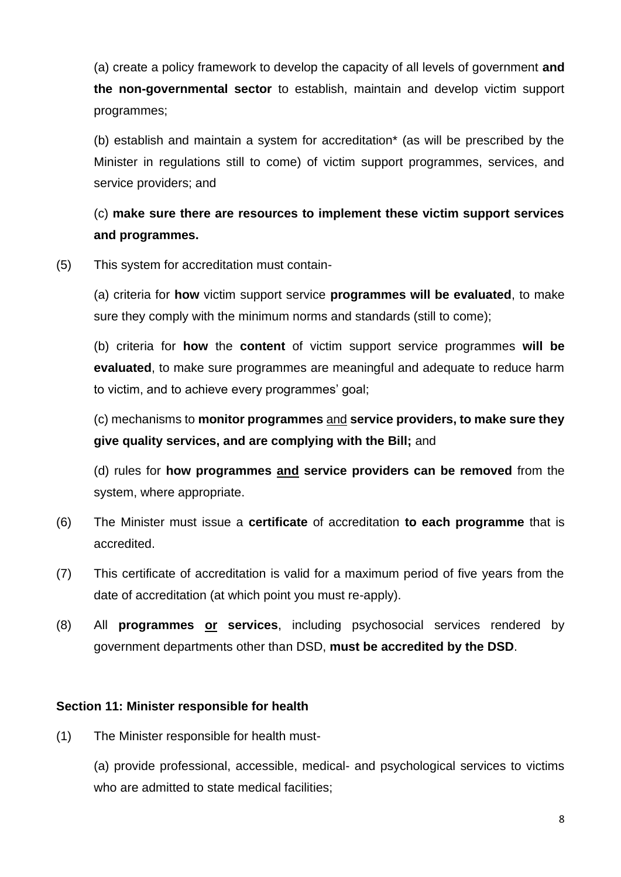(a) create a policy framework to develop the capacity of all levels of government **and the non-governmental sector** to establish, maintain and develop victim support programmes;

(b) establish and maintain a system for accreditation\* (as will be prescribed by the Minister in regulations still to come) of victim support programmes, services, and service providers; and

## (c) **make sure there are resources to implement these victim support services and programmes.**

(5) This system for accreditation must contain-

(a) criteria for **how** victim support service **programmes will be evaluated**, to make sure they comply with the minimum norms and standards (still to come);

(b) criteria for **how** the **content** of victim support service programmes **will be evaluated**, to make sure programmes are meaningful and adequate to reduce harm to victim, and to achieve every programmes' goal;

(c) mechanisms to **monitor programmes** and **service providers, to make sure they give quality services, and are complying with the Bill;** and

(d) rules for **how programmes and service providers can be removed** from the system, where appropriate.

- (6) The Minister must issue a **certificate** of accreditation **to each programme** that is accredited.
- (7) This certificate of accreditation is valid for a maximum period of five years from the date of accreditation (at which point you must re-apply).
- (8) All **programmes or services**, including psychosocial services rendered by government departments other than DSD, **must be accredited by the DSD**.

#### **Section 11: Minister responsible for health**

(1) The Minister responsible for health must-

(a) provide professional, accessible, medical- and psychological services to victims who are admitted to state medical facilities;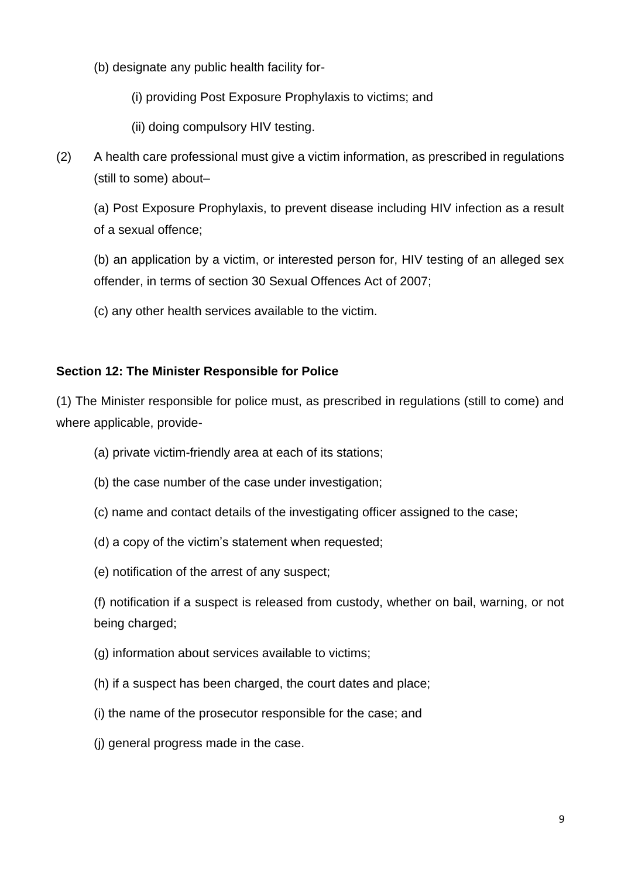- (b) designate any public health facility for-
	- (i) providing Post Exposure Prophylaxis to victims; and
	- (ii) doing compulsory HIV testing.
- (2) A health care professional must give a victim information, as prescribed in regulations (still to some) about–

(a) Post Exposure Prophylaxis, to prevent disease including HIV infection as a result of a sexual offence;

(b) an application by a victim, or interested person for, HIV testing of an alleged sex offender, in terms of section 30 Sexual Offences Act of 2007;

(c) any other health services available to the victim.

## **Section 12: The Minister Responsible for Police**

(1) The Minister responsible for police must, as prescribed in regulations (still to come) and where applicable, provide-

- (a) private victim-friendly area at each of its stations;
- (b) the case number of the case under investigation;
- (c) name and contact details of the investigating officer assigned to the case;
- (d) a copy of the victim's statement when requested;
- (e) notification of the arrest of any suspect;

(f) notification if a suspect is released from custody, whether on bail, warning, or not being charged;

- (g) information about services available to victims;
- (h) if a suspect has been charged, the court dates and place;
- (i) the name of the prosecutor responsible for the case; and
- (j) general progress made in the case.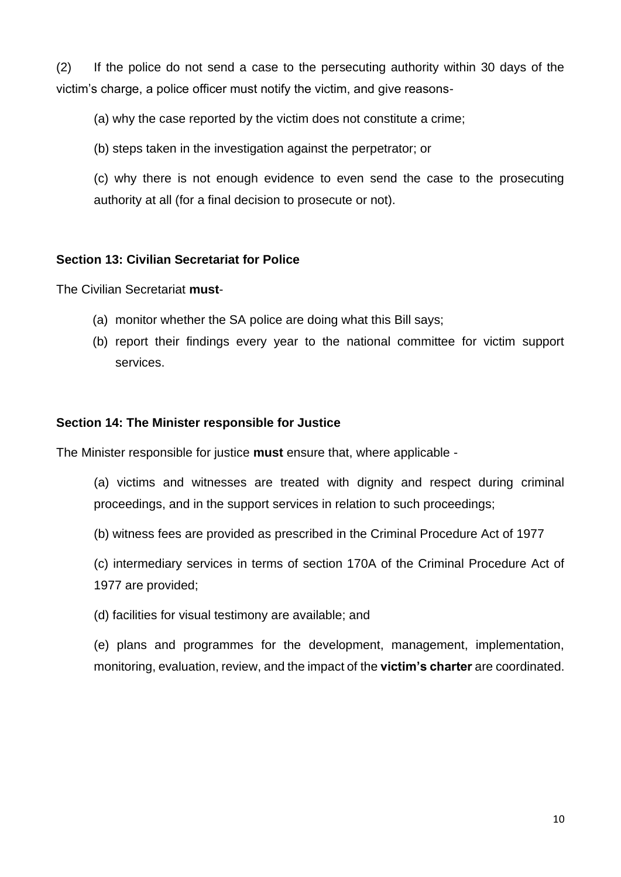(2) If the police do not send a case to the persecuting authority within 30 days of the victim's charge, a police officer must notify the victim, and give reasons-

(a) why the case reported by the victim does not constitute a crime;

(b) steps taken in the investigation against the perpetrator; or

(c) why there is not enough evidence to even send the case to the prosecuting authority at all (for a final decision to prosecute or not).

#### **Section 13: Civilian Secretariat for Police**

The Civilian Secretariat **must**-

- (a) monitor whether the SA police are doing what this Bill says;
- (b) report their findings every year to the national committee for victim support services.

#### **Section 14: The Minister responsible for Justice**

The Minister responsible for justice **must** ensure that, where applicable -

- (a) victims and witnesses are treated with dignity and respect during criminal proceedings, and in the support services in relation to such proceedings;
- (b) witness fees are provided as prescribed in the Criminal Procedure Act of 1977
- (c) intermediary services in terms of section 170A of the Criminal Procedure Act of 1977 are provided;
- (d) facilities for visual testimony are available; and

(e) plans and programmes for the development, management, implementation, monitoring, evaluation, review, and the impact of the **victim's charter** are coordinated.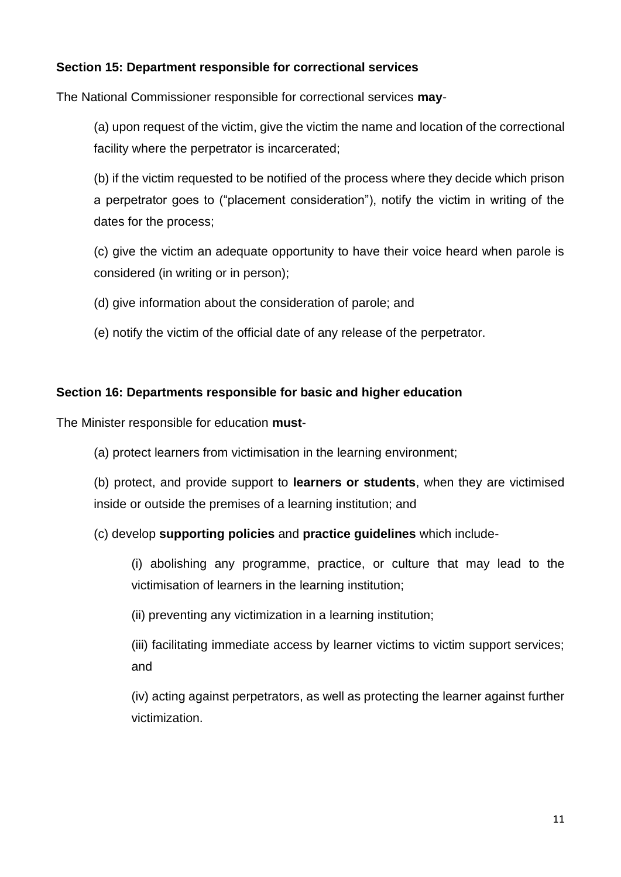## **Section 15: Department responsible for correctional services**

The National Commissioner responsible for correctional services **may**-

(a) upon request of the victim, give the victim the name and location of the correctional facility where the perpetrator is incarcerated;

(b) if the victim requested to be notified of the process where they decide which prison a perpetrator goes to ("placement consideration"), notify the victim in writing of the dates for the process;

(c) give the victim an adequate opportunity to have their voice heard when parole is considered (in writing or in person);

- (d) give information about the consideration of parole; and
- (e) notify the victim of the official date of any release of the perpetrator.

#### **Section 16: Departments responsible for basic and higher education**

The Minister responsible for education **must**-

(a) protect learners from victimisation in the learning environment;

(b) protect, and provide support to **learners or students**, when they are victimised inside or outside the premises of a learning institution; and

(c) develop **supporting policies** and **practice guidelines** which include-

(i) abolishing any programme, practice, or culture that may lead to the victimisation of learners in the learning institution;

(ii) preventing any victimization in a learning institution;

(iii) facilitating immediate access by learner victims to victim support services; and

(iv) acting against perpetrators, as well as protecting the learner against further victimization.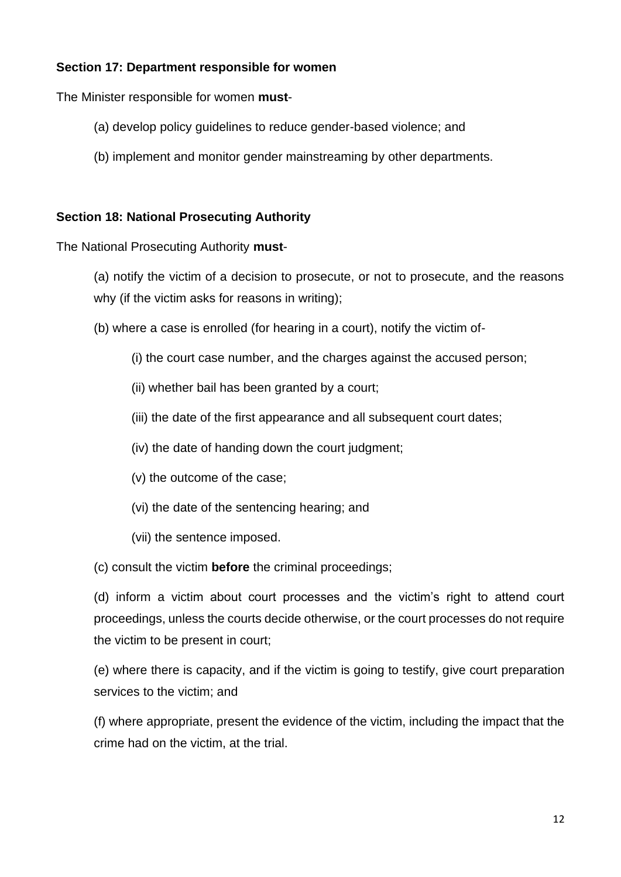## **Section 17: Department responsible for women**

The Minister responsible for women **must**-

- (a) develop policy guidelines to reduce gender-based violence; and
- (b) implement and monitor gender mainstreaming by other departments.

### **Section 18: National Prosecuting Authority**

The National Prosecuting Authority **must**-

- (a) notify the victim of a decision to prosecute, or not to prosecute, and the reasons why (if the victim asks for reasons in writing);
- (b) where a case is enrolled (for hearing in a court), notify the victim of-
	- (i) the court case number, and the charges against the accused person;
	- (ii) whether bail has been granted by a court;
	- (iii) the date of the first appearance and all subsequent court dates:
	- (iv) the date of handing down the court judgment;
	- (v) the outcome of the case;
	- (vi) the date of the sentencing hearing; and
	- (vii) the sentence imposed.

(c) consult the victim **before** the criminal proceedings;

(d) inform a victim about court processes and the victim's right to attend court proceedings, unless the courts decide otherwise, or the court processes do not require the victim to be present in court;

(e) where there is capacity, and if the victim is going to testify, give court preparation services to the victim; and

(f) where appropriate, present the evidence of the victim, including the impact that the crime had on the victim, at the trial.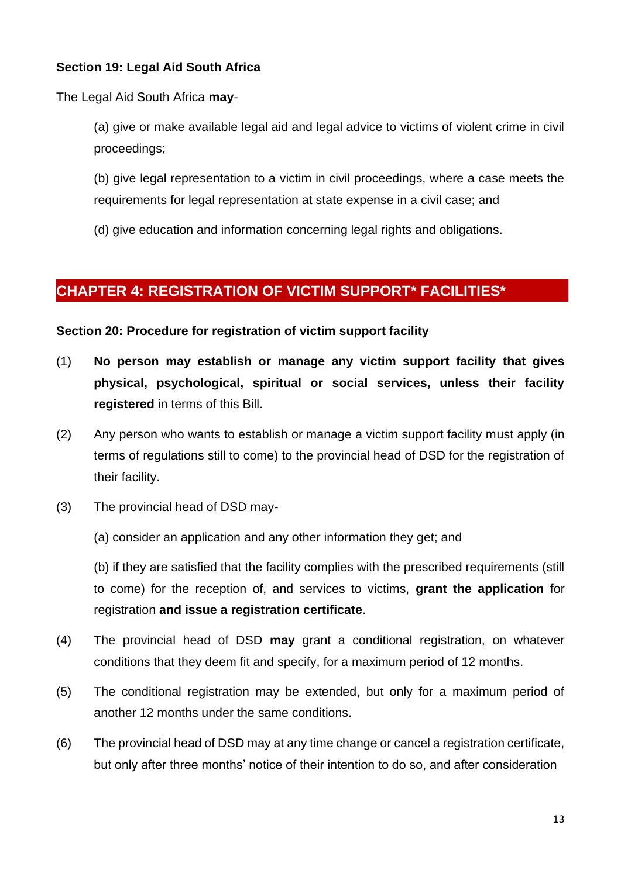## **Section 19: Legal Aid South Africa**

The Legal Aid South Africa **may**-

(a) give or make available legal aid and legal advice to victims of violent crime in civil proceedings;

(b) give legal representation to a victim in civil proceedings, where a case meets the requirements for legal representation at state expense in a civil case; and

(d) give education and information concerning legal rights and obligations.

## <span id="page-12-0"></span>**CHAPTER 4: REGISTRATION OF VICTIM SUPPORT\* FACILITIES\***

**Section 20: Procedure for registration of victim support facility**

- (1) **No person may establish or manage any victim support facility that gives physical, psychological, spiritual or social services, unless their facility registered** in terms of this Bill.
- (2) Any person who wants to establish or manage a victim support facility must apply (in terms of regulations still to come) to the provincial head of DSD for the registration of their facility.
- (3) The provincial head of DSD may-

(a) consider an application and any other information they get; and

(b) if they are satisfied that the facility complies with the prescribed requirements (still to come) for the reception of, and services to victims, **grant the application** for registration **and issue a registration certificate**.

- (4) The provincial head of DSD **may** grant a conditional registration, on whatever conditions that they deem fit and specify, for a maximum period of 12 months.
- (5) The conditional registration may be extended, but only for a maximum period of another 12 months under the same conditions.
- (6) The provincial head of DSD may at any time change or cancel a registration certificate, but only after three months' notice of their intention to do so, and after consideration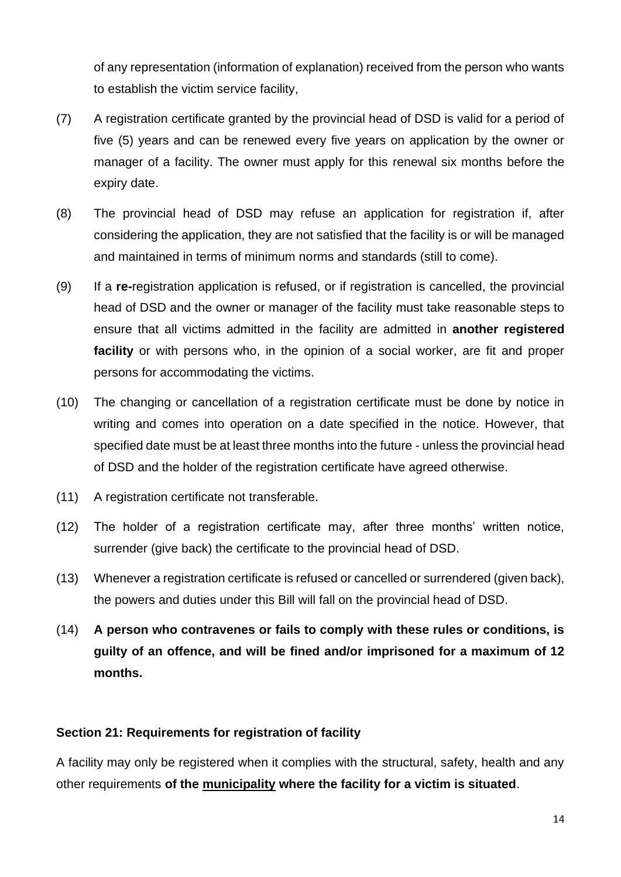of any representation (information of explanation) received from the person who wants to establish the victim service facility,

- (7) A registration certificate granted by the provincial head of DSD is valid for a period of five (5) years and can be renewed every five years on application by the owner or manager of a facility. The owner must apply for this renewal six months before the expiry date.
- (8) The provincial head of DSD may refuse an application for registration if, after considering the application, they are not satisfied that the facility is or will be managed and maintained in terms of minimum norms and standards (still to come).
- (9) If a **re-**registration application is refused, or if registration is cancelled, the provincial head of DSD and the owner or manager of the facility must take reasonable steps to ensure that all victims admitted in the facility are admitted in **another registered facility** or with persons who, in the opinion of a social worker, are fit and proper persons for accommodating the victims.
- (10) The changing or cancellation of a registration certificate must be done by notice in writing and comes into operation on a date specified in the notice. However, that specified date must be at least three months into the future - unless the provincial head of DSD and the holder of the registration certificate have agreed otherwise.
- (11) A registration certificate not transferable.
- (12) The holder of a registration certificate may, after three months' written notice, surrender (give back) the certificate to the provincial head of DSD.
- (13) Whenever a registration certificate is refused or cancelled or surrendered (given back), the powers and duties under this Bill will fall on the provincial head of DSD.
- (14) **A person who contravenes or fails to comply with these rules or conditions, is guilty of an offence, and will be fined and/or imprisoned for a maximum of 12 months.**

## **Section 21: Requirements for registration of facility**

A facility may only be registered when it complies with the structural, safety, health and any other requirements **of the municipality where the facility for a victim is situated**.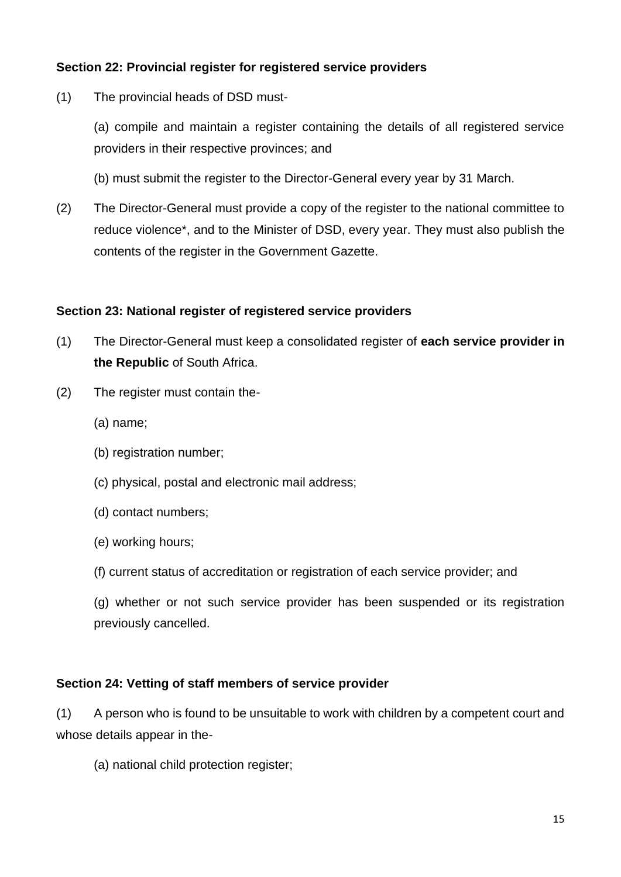## **Section 22: Provincial register for registered service providers**

(1) The provincial heads of DSD must-

(a) compile and maintain a register containing the details of all registered service providers in their respective provinces; and

- (b) must submit the register to the Director-General every year by 31 March.
- (2) The Director-General must provide a copy of the register to the national committee to reduce violence\*, and to the Minister of DSD, every year. They must also publish the contents of the register in the Government Gazette.

#### **Section 23: National register of registered service providers**

- (1) The Director-General must keep a consolidated register of **each service provider in the Republic** of South Africa.
- (2) The register must contain the-
	- (a) name;
	- (b) registration number;
	- (c) physical, postal and electronic mail address;
	- (d) contact numbers;
	- (e) working hours;
	- (f) current status of accreditation or registration of each service provider; and
	- (g) whether or not such service provider has been suspended or its registration previously cancelled.

#### **Section 24: Vetting of staff members of service provider**

(1) A person who is found to be unsuitable to work with children by a competent court and whose details appear in the-

(a) national child protection register;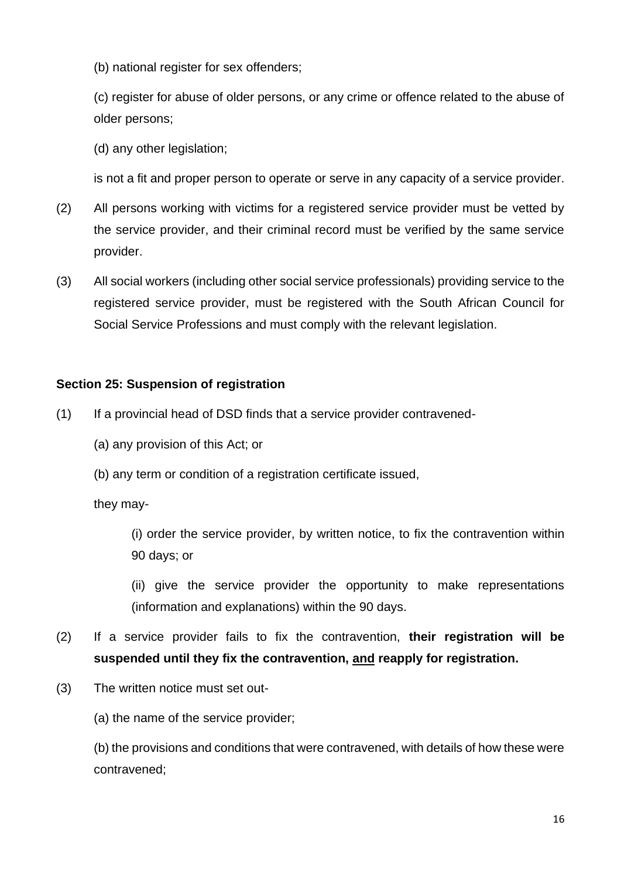(b) national register for sex offenders;

(c) register for abuse of older persons, or any crime or offence related to the abuse of older persons;

(d) any other legislation;

is not a fit and proper person to operate or serve in any capacity of a service provider.

- (2) All persons working with victims for a registered service provider must be vetted by the service provider, and their criminal record must be verified by the same service provider.
- (3) All social workers (including other social service professionals) providing service to the registered service provider, must be registered with the South African Council for Social Service Professions and must comply with the relevant legislation.

## **Section 25: Suspension of registration**

- (1) If a provincial head of DSD finds that a service provider contravened-
	- (a) any provision of this Act; or
	- (b) any term or condition of a registration certificate issued,

they may-

(i) order the service provider, by written notice, to fix the contravention within 90 days; or

(ii) give the service provider the opportunity to make representations (information and explanations) within the 90 days.

- (2) If a service provider fails to fix the contravention, **their registration will be suspended until they fix the contravention, and reapply for registration.**
- (3) The written notice must set out-

(a) the name of the service provider;

(b) the provisions and conditions that were contravened, with details of how these were contravened;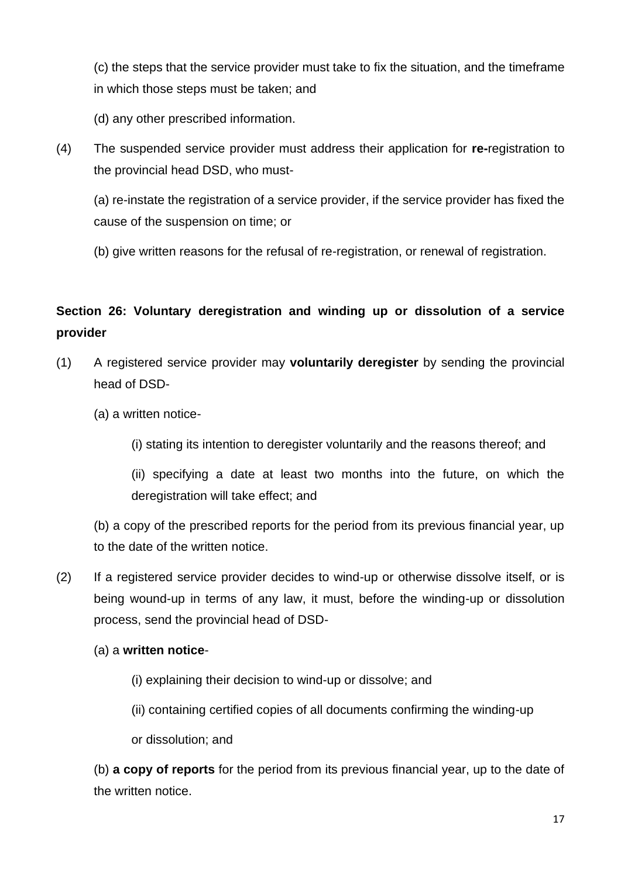(c) the steps that the service provider must take to fix the situation, and the timeframe in which those steps must be taken; and

(d) any other prescribed information.

(4) The suspended service provider must address their application for **re-**registration to the provincial head DSD, who must-

(a) re-instate the registration of a service provider, if the service provider has fixed the cause of the suspension on time; or

(b) give written reasons for the refusal of re-registration, or renewal of registration.

## **Section 26: Voluntary deregistration and winding up or dissolution of a service provider**

- (1) A registered service provider may **voluntarily deregister** by sending the provincial head of DSD-
	- (a) a written notice-
		- (i) stating its intention to deregister voluntarily and the reasons thereof; and

(ii) specifying a date at least two months into the future, on which the deregistration will take effect; and

(b) a copy of the prescribed reports for the period from its previous financial year, up to the date of the written notice.

(2) If a registered service provider decides to wind-up or otherwise dissolve itself, or is being wound-up in terms of any law, it must, before the winding-up or dissolution process, send the provincial head of DSD-

## (a) a **written notice**-

- (i) explaining their decision to wind-up or dissolve; and
- (ii) containing certified copies of all documents confirming the winding-up

or dissolution; and

(b) **a copy of reports** for the period from its previous financial year, up to the date of the written notice.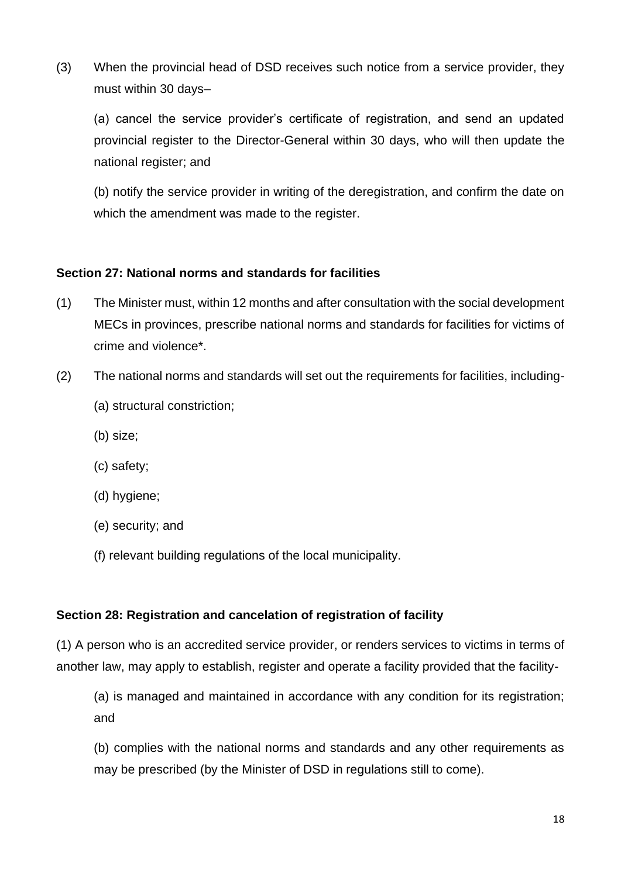(3) When the provincial head of DSD receives such notice from a service provider, they must within 30 days–

(a) cancel the service provider's certificate of registration, and send an updated provincial register to the Director-General within 30 days, who will then update the national register; and

(b) notify the service provider in writing of the deregistration, and confirm the date on which the amendment was made to the register.

## **Section 27: National norms and standards for facilities**

- (1) The Minister must, within 12 months and after consultation with the social development MECs in provinces, prescribe national norms and standards for facilities for victims of crime and violence\*.
- (2) The national norms and standards will set out the requirements for facilities, including-
	- (a) structural constriction;
	- (b) size;
	- (c) safety;
	- (d) hygiene;
	- (e) security; and
	- (f) relevant building regulations of the local municipality.

#### **Section 28: Registration and cancelation of registration of facility**

(1) A person who is an accredited service provider, or renders services to victims in terms of another law, may apply to establish, register and operate a facility provided that the facility-

(a) is managed and maintained in accordance with any condition for its registration; and

(b) complies with the national norms and standards and any other requirements as may be prescribed (by the Minister of DSD in regulations still to come).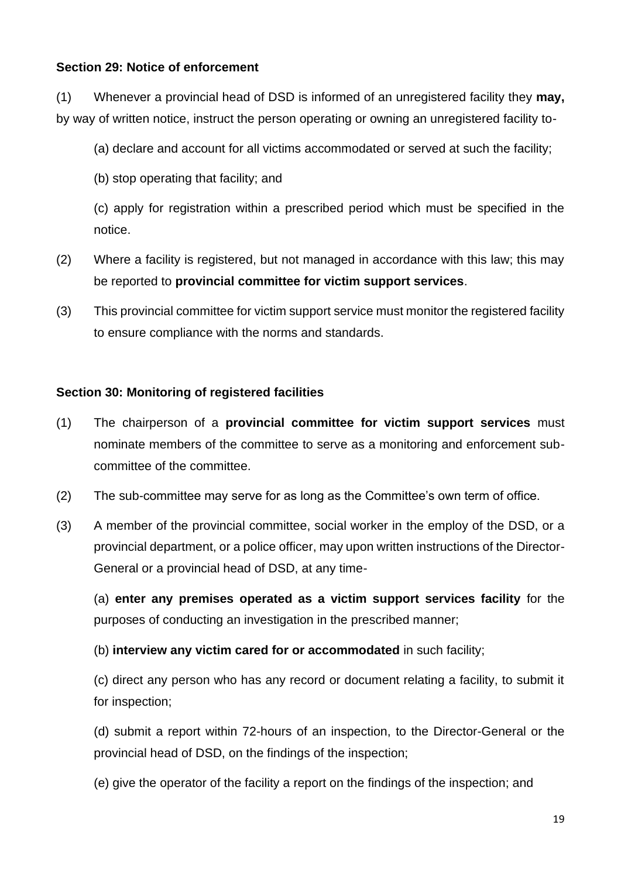## **Section 29: Notice of enforcement**

(1) Whenever a provincial head of DSD is informed of an unregistered facility they **may,**  by way of written notice, instruct the person operating or owning an unregistered facility to-

(a) declare and account for all victims accommodated or served at such the facility;

(b) stop operating that facility; and

(c) apply for registration within a prescribed period which must be specified in the notice.

- (2) Where a facility is registered, but not managed in accordance with this law; this may be reported to **provincial committee for victim support services**.
- (3) This provincial committee for victim support service must monitor the registered facility to ensure compliance with the norms and standards.

#### **Section 30: Monitoring of registered facilities**

- (1) The chairperson of a **provincial committee for victim support services** must nominate members of the committee to serve as a monitoring and enforcement subcommittee of the committee.
- (2) The sub-committee may serve for as long as the Committee's own term of office.
- (3) A member of the provincial committee, social worker in the employ of the DSD, or a provincial department, or a police officer, may upon written instructions of the Director-General or a provincial head of DSD, at any time-

(a) **enter any premises operated as a victim support services facility** for the purposes of conducting an investigation in the prescribed manner;

(b) **interview any victim cared for or accommodated** in such facility;

(c) direct any person who has any record or document relating a facility, to submit it for inspection;

(d) submit a report within 72-hours of an inspection, to the Director-General or the provincial head of DSD, on the findings of the inspection;

(e) give the operator of the facility a report on the findings of the inspection; and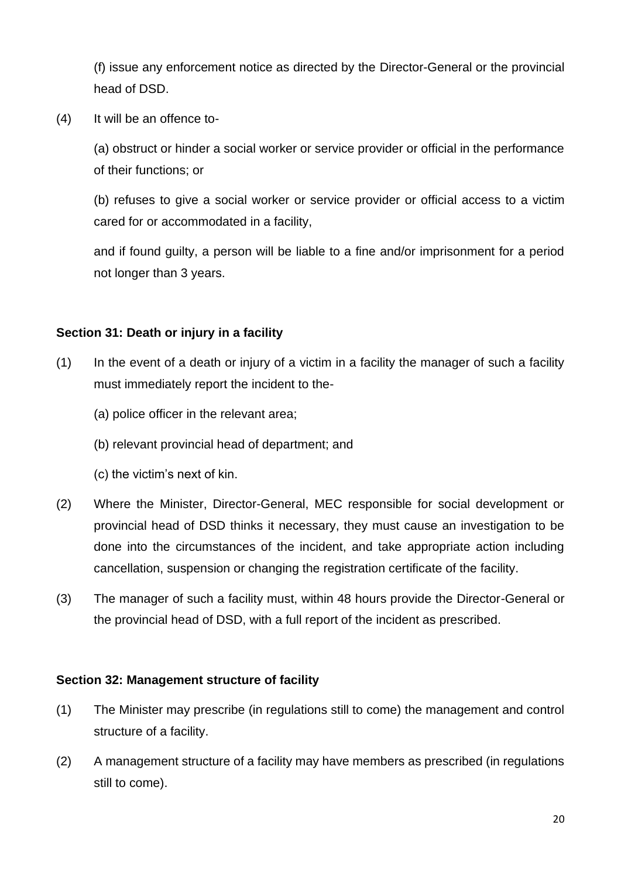(f) issue any enforcement notice as directed by the Director-General or the provincial head of DSD.

(4) It will be an offence to-

(a) obstruct or hinder a social worker or service provider or official in the performance of their functions; or

(b) refuses to give a social worker or service provider or official access to a victim cared for or accommodated in a facility,

and if found guilty, a person will be liable to a fine and/or imprisonment for a period not longer than 3 years.

### **Section 31: Death or injury in a facility**

- (1) In the event of a death or injury of a victim in a facility the manager of such a facility must immediately report the incident to the-
	- (a) police officer in the relevant area;
	- (b) relevant provincial head of department; and
	- (c) the victim's next of kin.
- (2) Where the Minister, Director-General, MEC responsible for social development or provincial head of DSD thinks it necessary, they must cause an investigation to be done into the circumstances of the incident, and take appropriate action including cancellation, suspension or changing the registration certificate of the facility.
- (3) The manager of such a facility must, within 48 hours provide the Director-General or the provincial head of DSD, with a full report of the incident as prescribed.

#### **Section 32: Management structure of facility**

- (1) The Minister may prescribe (in regulations still to come) the management and control structure of a facility.
- (2) A management structure of a facility may have members as prescribed (in regulations still to come).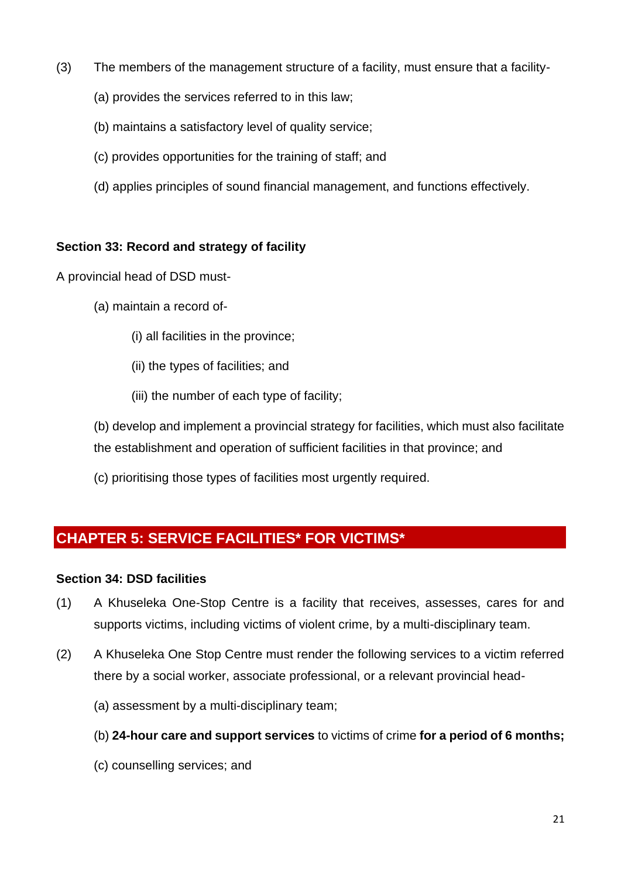- (3) The members of the management structure of a facility, must ensure that a facility-
	- (a) provides the services referred to in this law;
	- (b) maintains a satisfactory level of quality service;
	- (c) provides opportunities for the training of staff; and
	- (d) applies principles of sound financial management, and functions effectively.

## **Section 33: Record and strategy of facility**

A provincial head of DSD must-

- (a) maintain a record of-
	- (i) all facilities in the province;
	- (ii) the types of facilities; and
	- (iii) the number of each type of facility;

(b) develop and implement a provincial strategy for facilities, which must also facilitate the establishment and operation of sufficient facilities in that province; and

(c) prioritising those types of facilities most urgently required.

# <span id="page-20-0"></span>**CHAPTER 5: SERVICE FACILITIES\* FOR VICTIMS\***

## **Section 34: DSD facilities**

- (1) A Khuseleka One-Stop Centre is a facility that receives, assesses, cares for and supports victims, including victims of violent crime, by a multi-disciplinary team.
- (2) A Khuseleka One Stop Centre must render the following services to a victim referred there by a social worker, associate professional, or a relevant provincial head-
	- (a) assessment by a multi-disciplinary team;
	- (b) **24-hour care and support services** to victims of crime **for a period of 6 months;**
	- (c) counselling services; and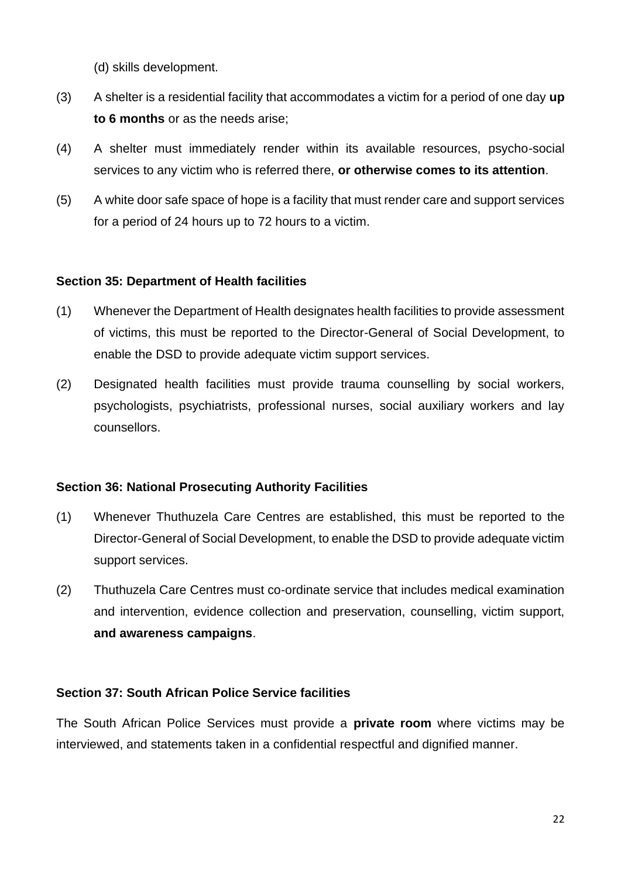(d) skills development.

- (3) A shelter is a residential facility that accommodates a victim for a period of one day **up to 6 months** or as the needs arise;
- (4) A shelter must immediately render within its available resources, psycho-social services to any victim who is referred there, **or otherwise comes to its attention**.
- (5) A white door safe space of hope is a facility that must render care and support services for a period of 24 hours up to 72 hours to a victim.

## **Section 35: Department of Health facilities**

- (1) Whenever the Department of Health designates health facilities to provide assessment of victims, this must be reported to the Director-General of Social Development, to enable the DSD to provide adequate victim support services.
- (2) Designated health facilities must provide trauma counselling by social workers, psychologists, psychiatrists, professional nurses, social auxiliary workers and lay counsellors.

## **Section 36: National Prosecuting Authority Facilities**

- (1) Whenever Thuthuzela Care Centres are established, this must be reported to the Director-General of Social Development, to enable the DSD to provide adequate victim support services.
- (2) Thuthuzela Care Centres must co-ordinate service that includes medical examination and intervention, evidence collection and preservation, counselling, victim support, **and awareness campaigns**.

## **Section 37: South African Police Service facilities**

The South African Police Services must provide a **private room** where victims may be interviewed, and statements taken in a confidential respectful and dignified manner.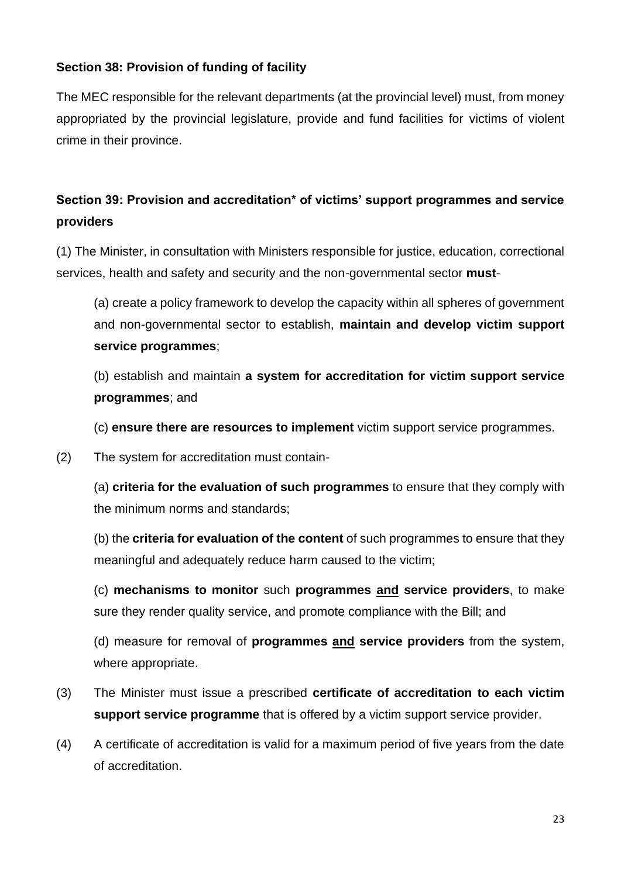## **Section 38: Provision of funding of facility**

The MEC responsible for the relevant departments (at the provincial level) must, from money appropriated by the provincial legislature, provide and fund facilities for victims of violent crime in their province.

## **Section 39: Provision and accreditation\* of victims' support programmes and service providers**

(1) The Minister, in consultation with Ministers responsible for justice, education, correctional services, health and safety and security and the non-governmental sector **must**-

(a) create a policy framework to develop the capacity within all spheres of government and non-governmental sector to establish, **maintain and develop victim support service programmes**;

(b) establish and maintain **a system for accreditation for victim support service programmes**; and

(c) **ensure there are resources to implement** victim support service programmes.

(2) The system for accreditation must contain-

(a) **criteria for the evaluation of such programmes** to ensure that they comply with the minimum norms and standards;

(b) the **criteria for evaluation of the content** of such programmes to ensure that they meaningful and adequately reduce harm caused to the victim;

(c) **mechanisms to monitor** such **programmes and service providers**, to make sure they render quality service, and promote compliance with the Bill; and

(d) measure for removal of **programmes and service providers** from the system, where appropriate.

- (3) The Minister must issue a prescribed **certificate of accreditation to each victim support service programme** that is offered by a victim support service provider.
- (4) A certificate of accreditation is valid for a maximum period of five years from the date of accreditation.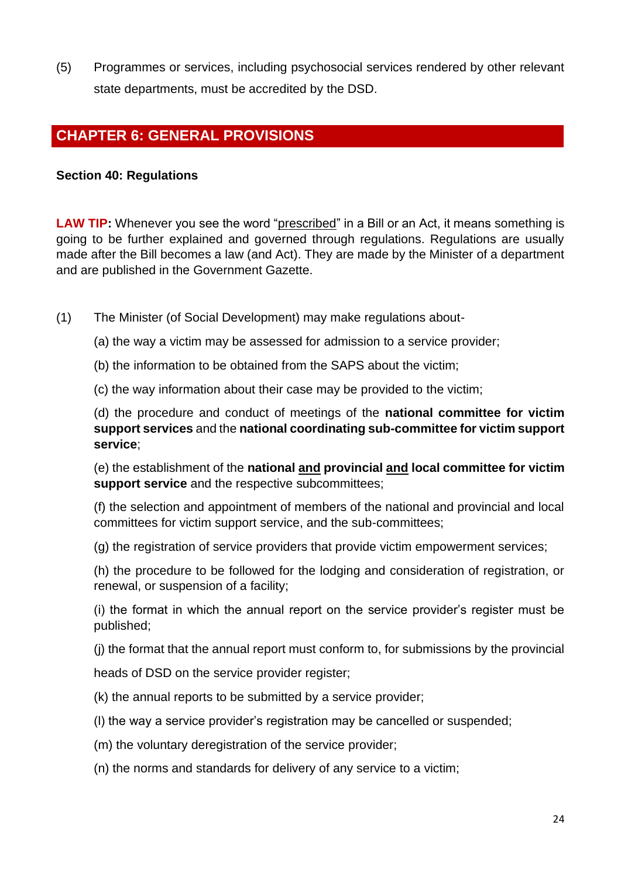(5) Programmes or services, including psychosocial services rendered by other relevant state departments, must be accredited by the DSD.

## <span id="page-23-0"></span>**CHAPTER 6: GENERAL PROVISIONS**

### **Section 40: Regulations**

LAW TIP: Whenever you see the word "prescribed" in a Bill or an Act, it means something is going to be further explained and governed through regulations. Regulations are usually made after the Bill becomes a law (and Act). They are made by the Minister of a department and are published in the Government Gazette.

- (1) The Minister (of Social Development) may make regulations about-
	- (a) the way a victim may be assessed for admission to a service provider;
	- (b) the information to be obtained from the SAPS about the victim;
	- (c) the way information about their case may be provided to the victim;

(d) the procedure and conduct of meetings of the **national committee for victim support services** and the **national coordinating sub-committee for victim support service**;

(e) the establishment of the **national and provincial and local committee for victim support service** and the respective subcommittees;

(f) the selection and appointment of members of the national and provincial and local committees for victim support service, and the sub-committees;

(g) the registration of service providers that provide victim empowerment services;

(h) the procedure to be followed for the lodging and consideration of registration, or renewal, or suspension of a facility;

(i) the format in which the annual report on the service provider's register must be published;

(j) the format that the annual report must conform to, for submissions by the provincial

heads of DSD on the service provider register;

- (k) the annual reports to be submitted by a service provider;
- (l) the way a service provider's registration may be cancelled or suspended;
- (m) the voluntary deregistration of the service provider;
- (n) the norms and standards for delivery of any service to a victim;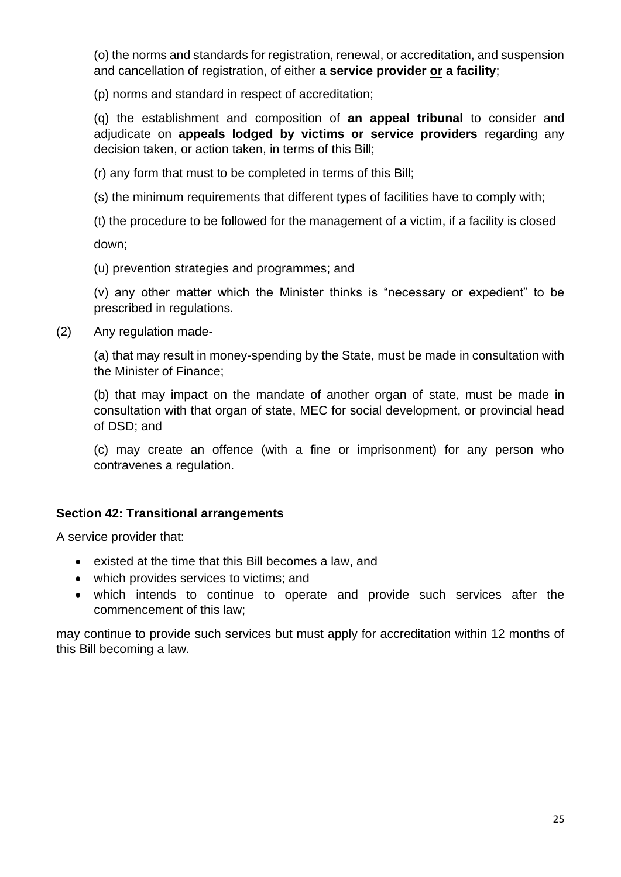(o) the norms and standards for registration, renewal, or accreditation, and suspension and cancellation of registration, of either **a service provider or a facility**;

(p) norms and standard in respect of accreditation;

(q) the establishment and composition of **an appeal tribunal** to consider and adjudicate on **appeals lodged by victims or service providers** regarding any decision taken, or action taken, in terms of this Bill;

(r) any form that must to be completed in terms of this Bill;

(s) the minimum requirements that different types of facilities have to comply with;

(t) the procedure to be followed for the management of a victim, if a facility is closed

down;

(u) prevention strategies and programmes; and

(v) any other matter which the Minister thinks is "necessary or expedient" to be prescribed in regulations.

(2) Any regulation made-

(a) that may result in money-spending by the State, must be made in consultation with the Minister of Finance;

(b) that may impact on the mandate of another organ of state, must be made in consultation with that organ of state, MEC for social development, or provincial head of DSD; and

(c) may create an offence (with a fine or imprisonment) for any person who contravenes a regulation.

#### **Section 42: Transitional arrangements**

A service provider that:

- existed at the time that this Bill becomes a law, and
- which provides services to victims; and
- which intends to continue to operate and provide such services after the commencement of this law;

may continue to provide such services but must apply for accreditation within 12 months of this Bill becoming a law.